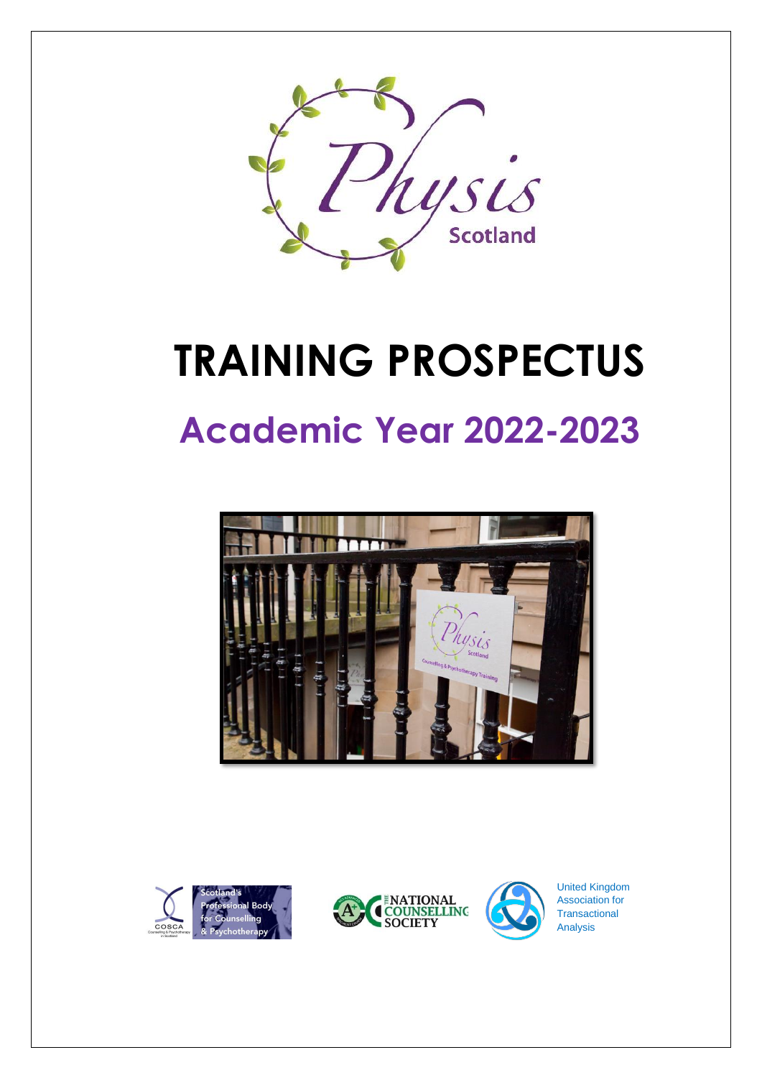

# **TRAINING PROSPECTUS**

## **Academic Year 2022-2023**









United Kingdom Association for **Transactional** Analysis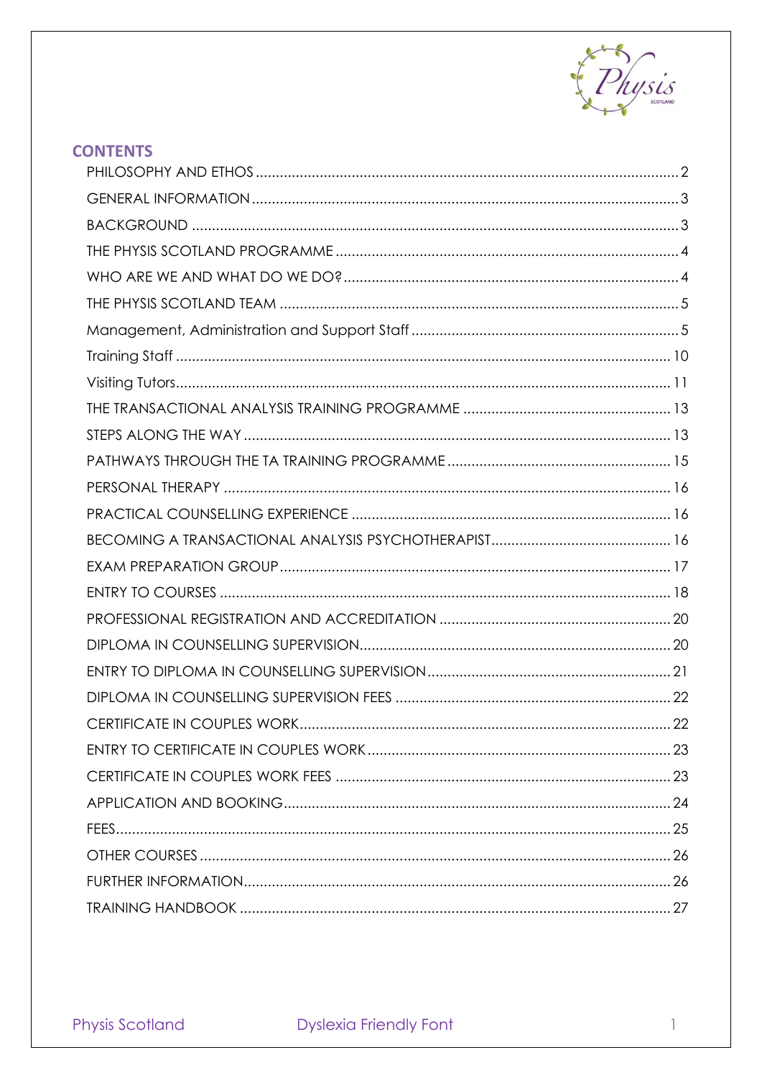

| <b>CONTENTS</b> |  |
|-----------------|--|
|                 |  |
|                 |  |
|                 |  |
|                 |  |
|                 |  |
|                 |  |
|                 |  |
|                 |  |
|                 |  |
|                 |  |
|                 |  |
|                 |  |
|                 |  |
|                 |  |
|                 |  |
|                 |  |
|                 |  |
|                 |  |
|                 |  |
|                 |  |
|                 |  |
|                 |  |
|                 |  |
|                 |  |
|                 |  |
|                 |  |
|                 |  |
|                 |  |
|                 |  |
|                 |  |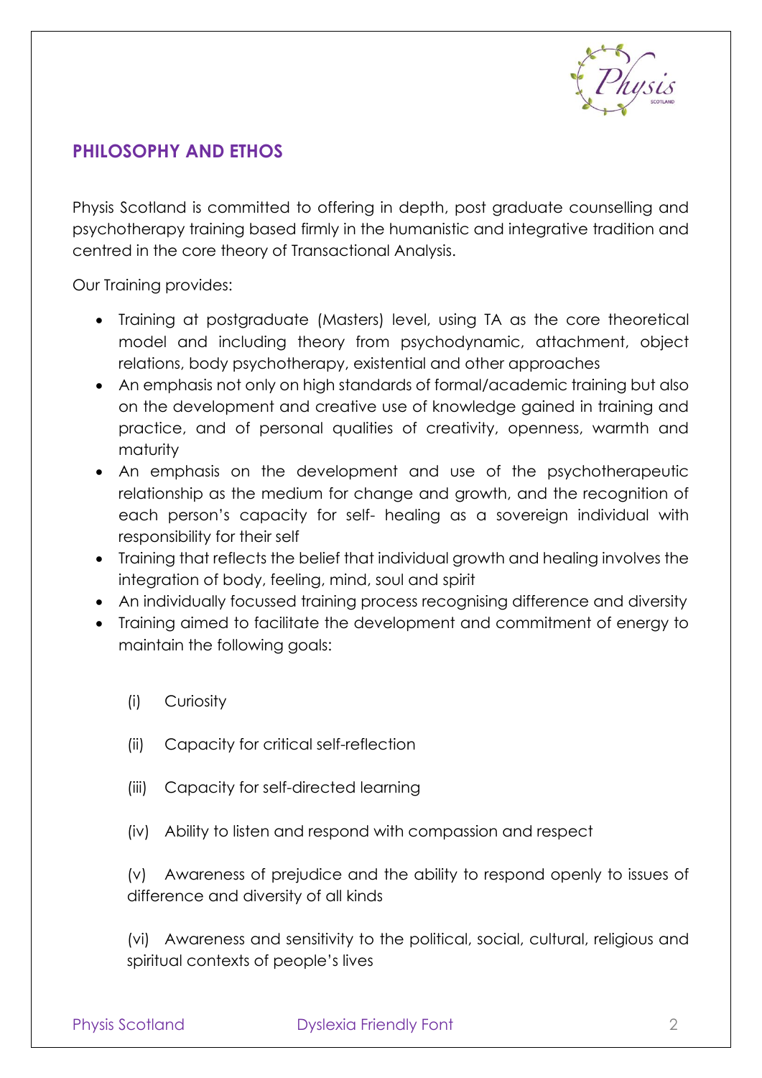

## <span id="page-2-0"></span>**PHILOSOPHY AND ETHOS**

Physis Scotland is committed to offering in depth, post graduate counselling and psychotherapy training based firmly in the humanistic and integrative tradition and centred in the core theory of Transactional Analysis.

Our Training provides:

- Training at postgraduate (Masters) level, using TA as the core theoretical model and including theory from psychodynamic, attachment, object relations, body psychotherapy, existential and other approaches
- An emphasis not only on high standards of formal/academic training but also on the development and creative use of knowledge gained in training and practice, and of personal qualities of creativity, openness, warmth and maturity
- An emphasis on the development and use of the psychotherapeutic relationship as the medium for change and growth, and the recognition of each person's capacity for self- healing as a sovereign individual with responsibility for their self
- Training that reflects the belief that individual growth and healing involves the integration of body, feeling, mind, soul and spirit
- An individually focussed training process recognising difference and diversity
- Training aimed to facilitate the development and commitment of energy to maintain the following goals:
	- (i) Curiosity
	- (ii) Capacity for critical self-reflection
	- (iii) Capacity for self-directed learning
	- (iv) Ability to listen and respond with compassion and respect

(v) Awareness of prejudice and the ability to respond openly to issues of difference and diversity of all kinds

(vi) Awareness and sensitivity to the political, social, cultural, religious and spiritual contexts of people's lives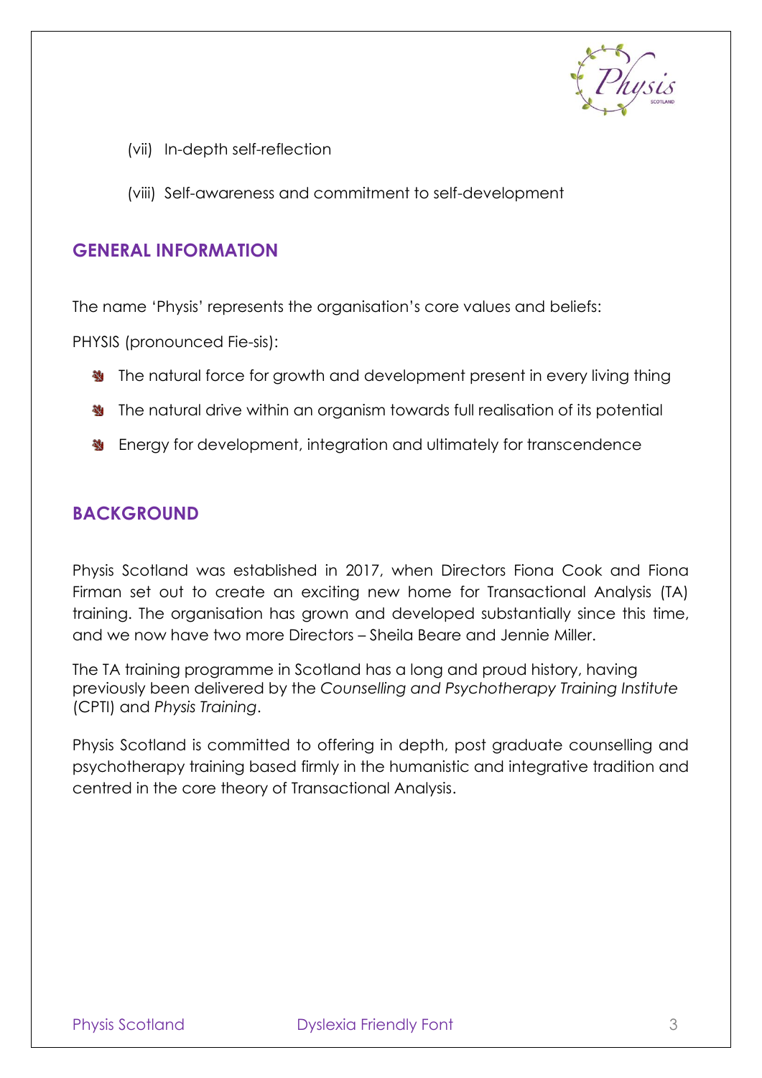

- (vii) In-depth self-reflection
- (viii) Self-awareness and commitment to self-development

#### <span id="page-3-0"></span>**GENERAL INFORMATION**

The name 'Physis' represents the organisation's core values and beliefs:

PHYSIS (pronounced Fie-sis):

- **垫** The natural force for growth and development present in every living thing
- **W** The natural drive within an organism towards full realisation of its potential
- **W** Energy for development, integration and ultimately for transcendence

## <span id="page-3-1"></span>**BACKGROUND**

Physis Scotland was established in 2017, when Directors Fiona Cook and Fiona Firman set out to create an exciting new home for Transactional Analysis (TA) training. The organisation has grown and developed substantially since this time, and we now have two more Directors – Sheila Beare and Jennie Miller.

The TA training programme in Scotland has a long and proud history, having previously been delivered by the *Counselling and Psychotherapy Training Institute*  (CPTI) and *Physis Training*.

Physis Scotland is committed to offering in depth, post graduate counselling and psychotherapy training based firmly in the humanistic and integrative tradition and centred in the core theory of Transactional Analysis.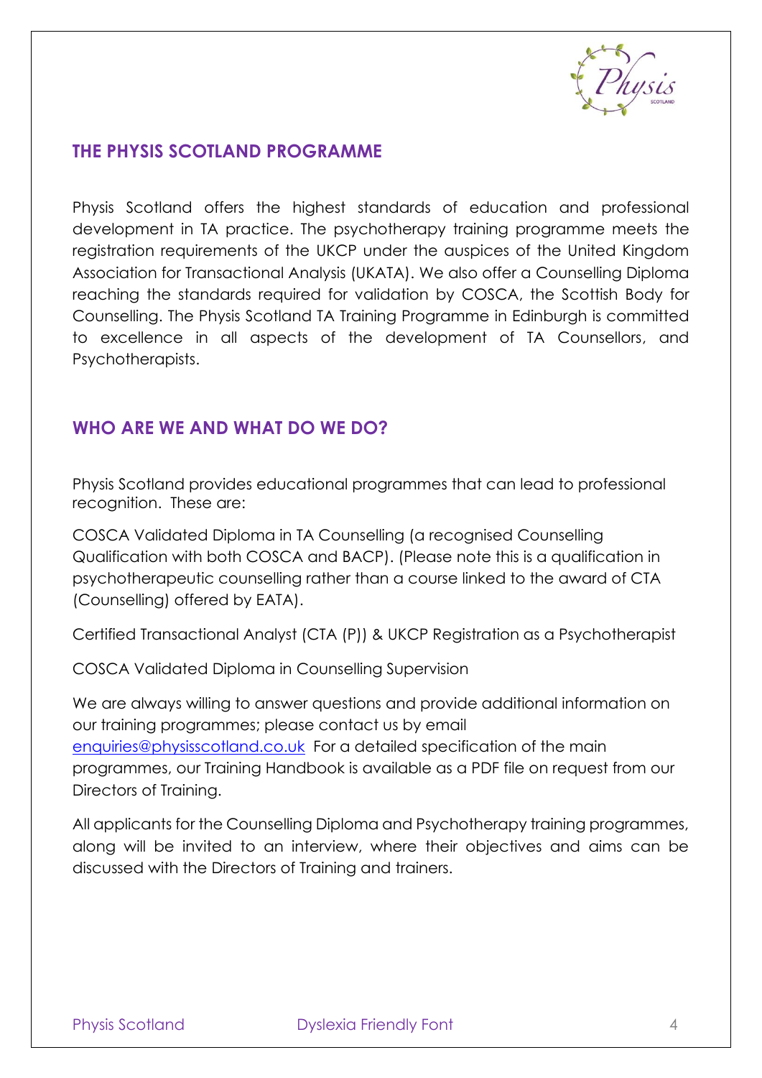

## <span id="page-4-0"></span>**THE PHYSIS SCOTLAND PROGRAMME**

Physis Scotland offers the highest standards of education and professional development in TA practice. The psychotherapy training programme meets the registration requirements of the UKCP under the auspices of the United Kingdom Association for Transactional Analysis (UKATA). We also offer a Counselling Diploma reaching the standards required for validation by COSCA, the Scottish Body for Counselling. The Physis Scotland TA Training Programme in Edinburgh is committed to excellence in all aspects of the development of TA Counsellors, and Psychotherapists.

## <span id="page-4-1"></span>**WHO ARE WE AND WHAT DO WE DO?**

Physis Scotland provides educational programmes that can lead to professional recognition. These are:

COSCA Validated Diploma in TA Counselling (a recognised Counselling Qualification with both COSCA and BACP). (Please note this is a qualification in psychotherapeutic counselling rather than a course linked to the award of CTA (Counselling) offered by EATA).

Certified Transactional Analyst (CTA (P)) & UKCP Registration as a Psychotherapist

COSCA Validated Diploma in Counselling Supervision

We are always willing to answer questions and provide additional information on our training programmes; please contact us by email [enquiries@physisscotland.co.uk](mailto:enquiries@physisscotland.co.uk) For a detailed specification of the main programmes, our Training Handbook is available as a PDF file on request from our Directors of Training.

All applicants for the Counselling Diploma and Psychotherapy training programmes, along will be invited to an interview, where their objectives and aims can be discussed with the Directors of Training and trainers.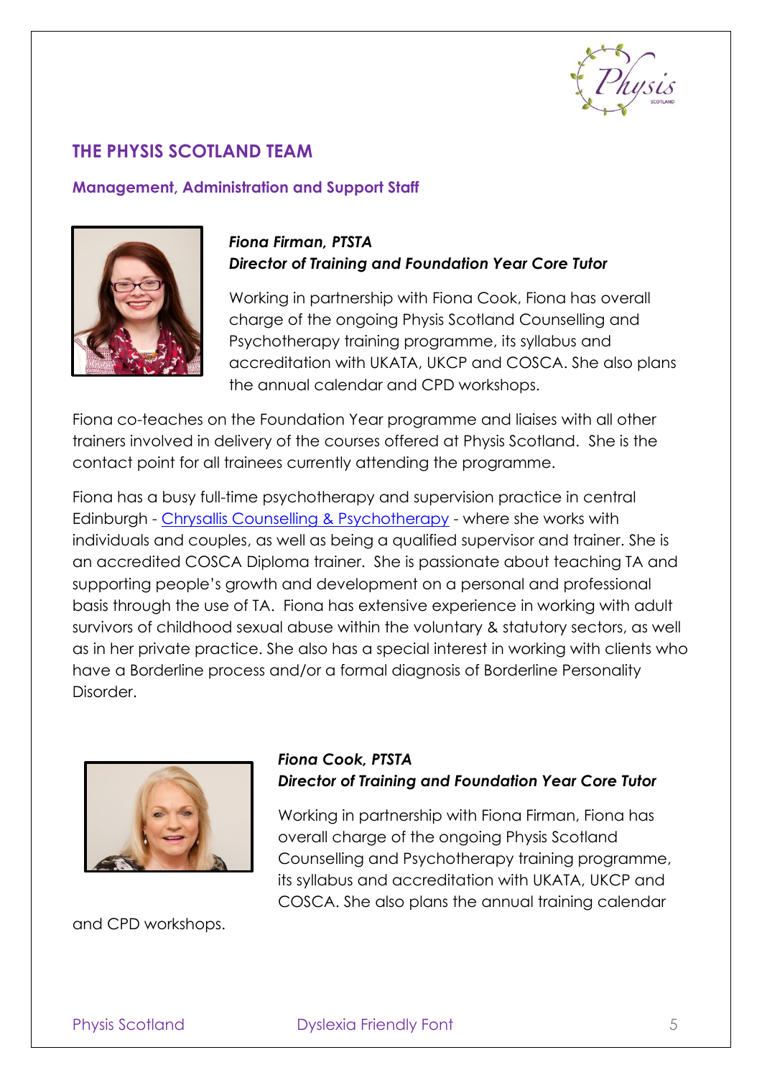

## <span id="page-5-0"></span>**THE PHYSIS SCOTLAND TEAM**

#### <span id="page-5-1"></span>**Management, Administration and Support Staff**



## *Fiona Firman, PTSTA Director of Training and Foundation Year Core Tutor*

Working in partnership with Fiona Cook, Fiona has overall charge of the ongoing Physis Scotland Counselling and Psychotherapy training programme, its syllabus and accreditation with UKATA, UKCP and COSCA. She also plans the annual calendar and CPD workshops.

Fiona co-teaches on the Foundation Year programme and liaises with all other trainers involved in delivery of the courses offered at Physis Scotland. She is the contact point for all trainees currently attending the programme.

Fiona has a busy full-time psychotherapy and supervision practice in central Edinburgh - [Chrysallis Counselling & Psychotherapy](https://www.chrysalliscounselling.co.uk/) - where she works with individuals and couples, as well as being a qualified supervisor and trainer. She is an accredited COSCA Diploma trainer. She is passionate about teaching TA and supporting people's growth and development on a personal and professional basis through the use of TA. Fiona has extensive experience in working with adult survivors of childhood sexual abuse within the voluntary & statutory sectors, as well as in her private practice. She also has a special interest in working with clients who have a Borderline process and/or a formal diagnosis of Borderline Personality Disorder.



and CPD workshops.

## *Fiona Cook, PTSTA Director of Training and Foundation Year Core Tutor*

Working in partnership with Fiona Firman, Fiona has overall charge of the ongoing Physis Scotland Counselling and Psychotherapy training programme, its syllabus and accreditation with UKATA, UKCP and COSCA. She also plans the annual training calendar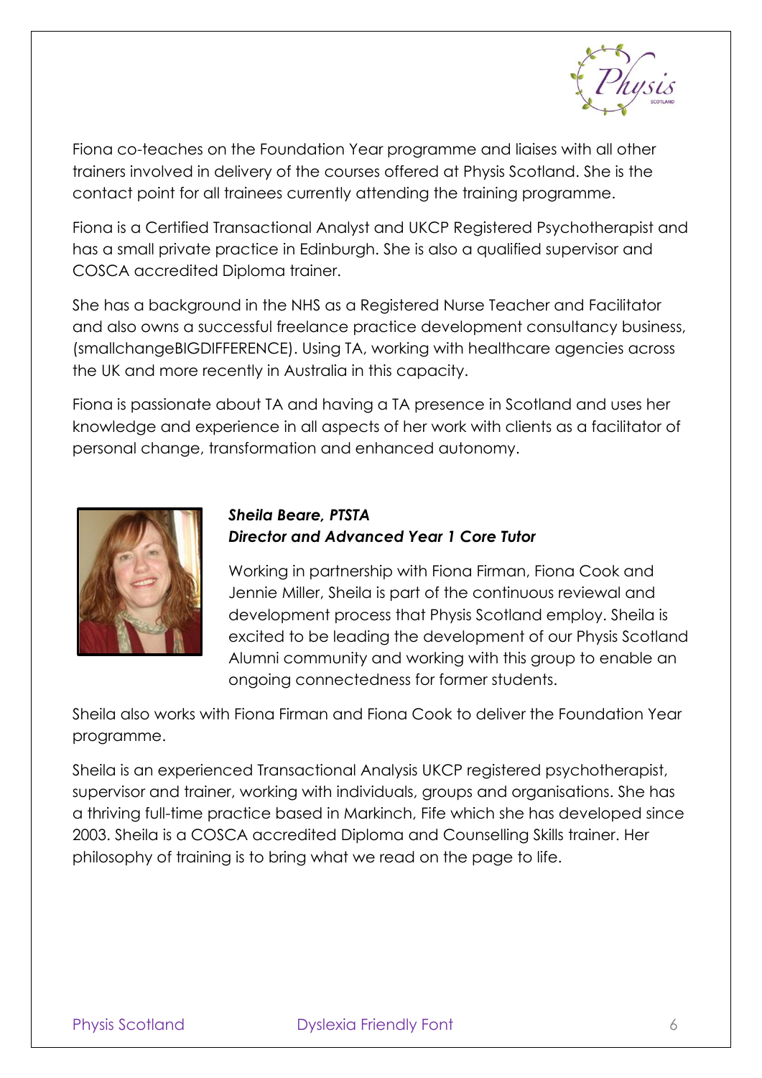

Fiona co-teaches on the Foundation Year programme and liaises with all other trainers involved in delivery of the courses offered at Physis Scotland. She is the contact point for all trainees currently attending the training programme.

Fiona is a Certified Transactional Analyst and UKCP Registered Psychotherapist and has a small private practice in Edinburgh. She is also a qualified supervisor and COSCA accredited Diploma trainer.

She has a background in the NHS as a Registered Nurse Teacher and Facilitator and also owns a successful freelance practice development consultancy business, (smallchangeBIGDIFFERENCE). Using TA, working with healthcare agencies across the UK and more recently in Australia in this capacity.

Fiona is passionate about TA and having a TA presence in Scotland and uses her knowledge and experience in all aspects of her work with clients as a facilitator of personal change, transformation and enhanced autonomy.



#### *Sheila Beare, PTSTA Director and Advanced Year 1 Core Tutor*

Working in partnership with Fiona Firman, Fiona Cook and Jennie Miller, Sheila is part of the continuous reviewal and development process that Physis Scotland employ. Sheila is excited to be leading the development of our Physis Scotland Alumni community and working with this group to enable an ongoing connectedness for former students.

Sheila also works with Fiona Firman and Fiona Cook to deliver the Foundation Year programme.

Sheila is an experienced Transactional Analysis UKCP registered psychotherapist, supervisor and trainer, working with individuals, groups and organisations. She has a thriving full-time practice based in Markinch, Fife which she has developed since 2003. Sheila is a COSCA accredited Diploma and Counselling Skills trainer. Her philosophy of training is to bring what we read on the page to life.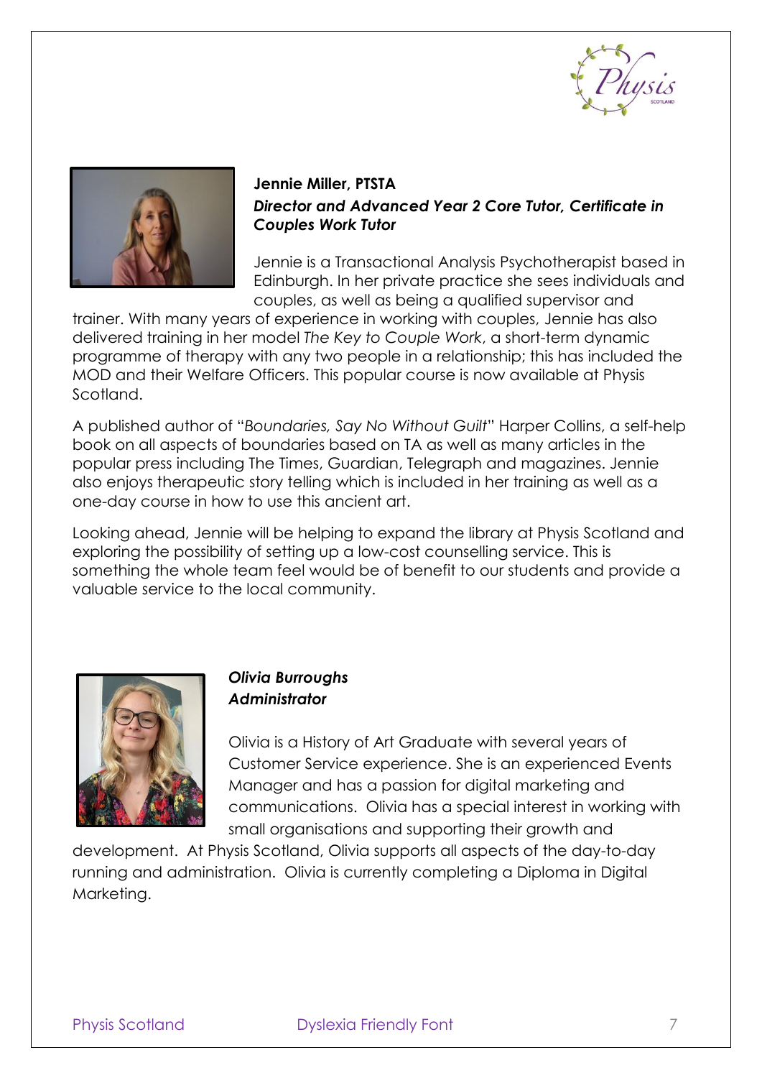



## **Jennie Miller, PTSTA**  *Director and Advanced Year 2 Core Tutor, Certificate in Couples Work Tutor*

Jennie is a Transactional Analysis Psychotherapist based in Edinburgh. In her private practice she sees individuals and couples, as well as being a qualified supervisor and

trainer. With many years of experience in working with couples, Jennie has also delivered training in her model *The Key to Couple Work*, a short-term dynamic programme of therapy with any two people in a relationship; this has included the MOD and their Welfare Officers. This popular course is now available at Physis Scotland.

A published author of "*Boundaries, Say No Without Guilt*" Harper Collins, a self-help book on all aspects of boundaries based on TA as well as many articles in the popular press including The Times, Guardian, Telegraph and magazines. Jennie also enjoys therapeutic story telling which is included in her training as well as a one-day course in how to use this ancient art.

Looking ahead, Jennie will be helping to expand the library at Physis Scotland and exploring the possibility of setting up a low-cost counselling service. This is something the whole team feel would be of benefit to our students and provide a valuable service to the local community.



## *Olivia Burroughs Administrator*

Olivia is a History of Art Graduate with several years of Customer Service experience. She is an experienced Events Manager and has a passion for digital marketing and communications. Olivia has a special interest in working with small organisations and supporting their growth and

development. At Physis Scotland, Olivia supports all aspects of the day-to-day running and administration. Olivia is currently completing a Diploma in Digital Marketing.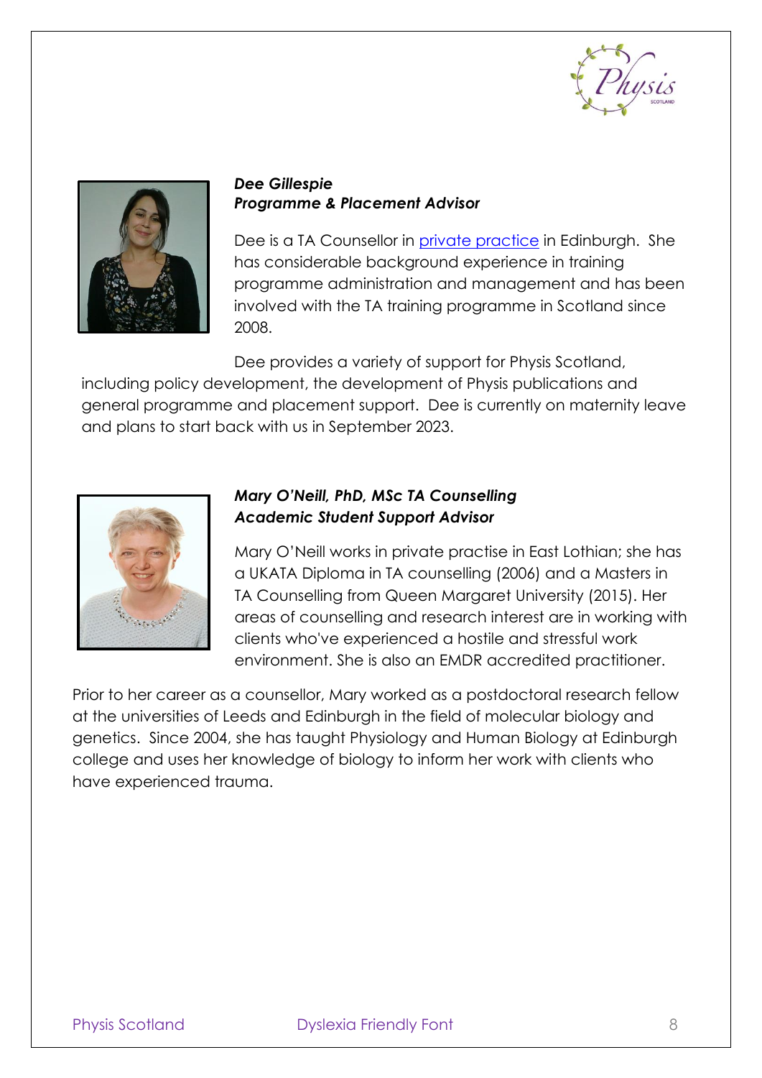



#### *Dee Gillespie Programme & Placement Advisor*

Dee is a TA Counsellor in [private practice](https://www.counselling-directory.org.uk/counsellors/dee-gillespie) in Edinburgh. She has considerable background experience in training programme administration and management and has been involved with the TA training programme in Scotland since 2008.

Dee provides a variety of support for Physis Scotland, including policy development, the development of Physis publications and general programme and placement support. Dee is currently on maternity leave



## *Mary O'Neill, PhD, MSc TA Counselling Academic Student Support Advisor*

and plans to start back with us in September 2023.

Mary O'Neill works in private practise in East Lothian; she has a UKATA Diploma in TA counselling (2006) and a Masters in TA Counselling from Queen Margaret University (2015). Her areas of counselling and research interest are in working with clients who've experienced a hostile and stressful work environment. She is also an EMDR accredited practitioner.

Prior to her career as a counsellor, Mary worked as a postdoctoral research fellow at the universities of Leeds and Edinburgh in the field of molecular biology and genetics. Since 2004, she has taught Physiology and Human Biology at Edinburgh college and uses her knowledge of biology to inform her work with clients who have experienced trauma.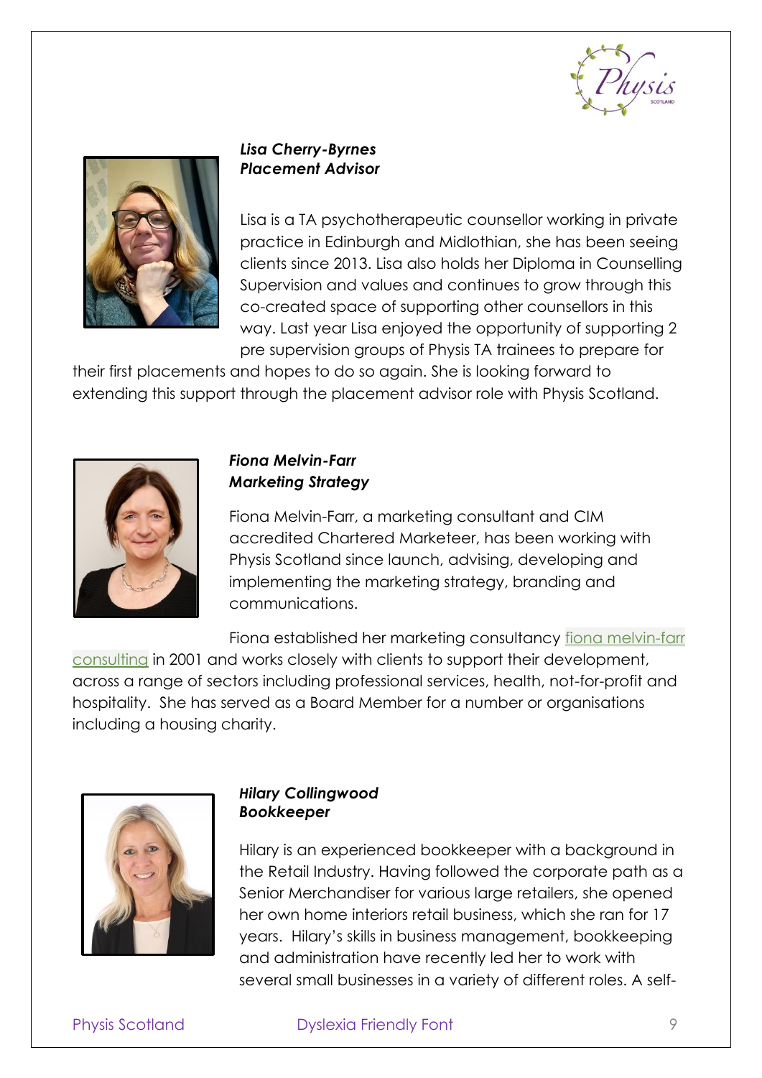



#### *Lisa Cherry-Byrnes Placement Advisor*

Lisa is a TA psychotherapeutic counsellor working in private practice in Edinburgh and Midlothian, she has been seeing clients since 2013. Lisa also holds her Diploma in Counselling Supervision and values and continues to grow through this co-created space of supporting other counsellors in this way. Last year Lisa enjoyed the opportunity of supporting 2 pre supervision groups of Physis TA trainees to prepare for

their first placements and hopes to do so again. She is looking forward to extending this support through the placement advisor role with Physis Scotland.



## *Fiona Melvin-Farr Marketing Strategy*

Fiona Melvin-Farr, a marketing consultant and CIM accredited Chartered Marketeer, has been working with Physis Scotland since launch, advising, developing and implementing the marketing strategy, branding and communications.

Fiona established her marketing consultancy [fiona melvin-farr](http://www.fmfc.co.uk/)  [consulting](http://www.fmfc.co.uk/) in 2001 and works closely with clients to support their development, across a range of sectors including professional services, health, not-for-profit and hospitality. She has served as a Board Member for a number or organisations including a housing charity.



#### *Hilary Collingwood Bookkeeper*

Hilary is an experienced bookkeeper with a background in the Retail Industry. Having followed the corporate path as a Senior Merchandiser for various large retailers, she opened her own home interiors retail business, which she ran for 17 years. Hilary's skills in business management, bookkeeping and administration have recently led her to work with several small businesses in a variety of different roles. A self-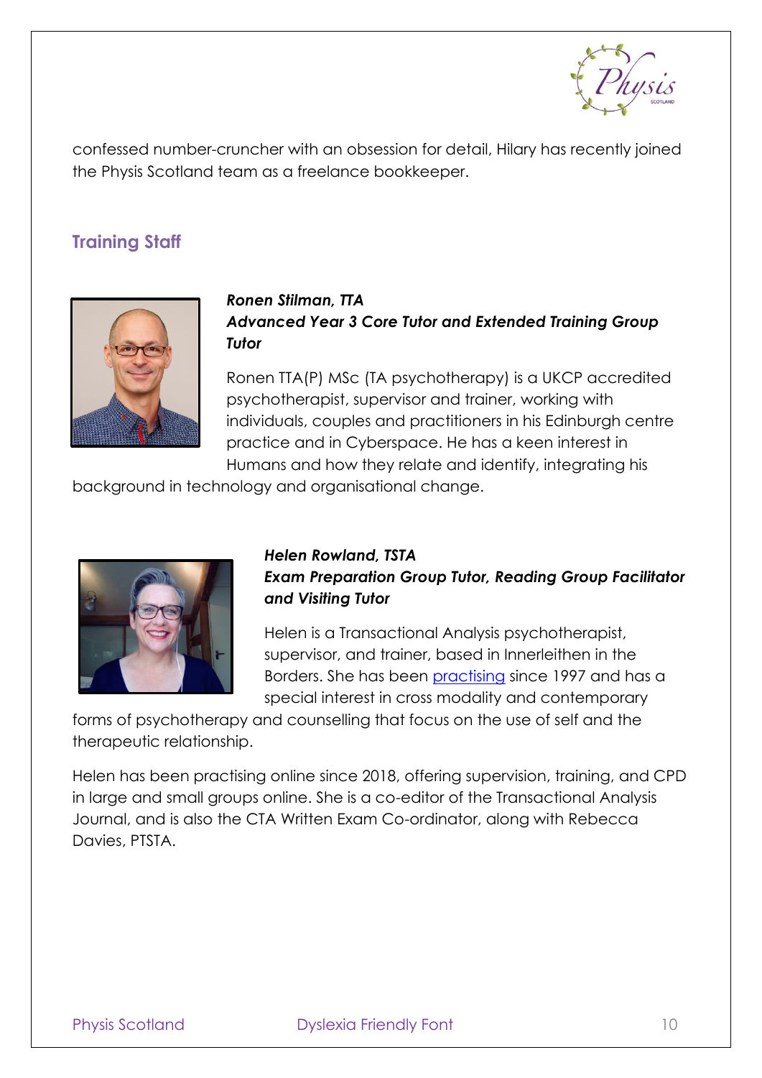

confessed number-cruncher with an obsession for detail, Hilary has recently joined the Physis Scotland team as a freelance bookkeeper.

## <span id="page-10-0"></span>**Training Staff**



## *Ronen Stilman, TTA Advanced Year 3 Core Tutor and Extended Training Group Tutor*

Ronen TTA(P) MSc (TA psychotherapy) is a UKCP accredited psychotherapist, supervisor and trainer, working with individuals, couples and practitioners in his Edinburgh centre practice and in Cyberspace. He has a keen interest in Humans and how they relate and identify, integrating his

background in technology and organisational change.



## *Helen Rowland, TSTA Exam Preparation Group Tutor, Reading Group Facilitator and Visiting Tutor*

Helen is a Transactional Analysis psychotherapist, supervisor, and trainer, based in Innerleithen in the Borders. She has been [practising](http://www.helenrowland.co.uk/) since 1997 and has a special interest in cross modality and contemporary

forms of psychotherapy and counselling that focus on the use of self and the therapeutic relationship.

Helen has been practising online since 2018, offering supervision, training, and CPD in large and small groups online. She is a co-editor of the Transactional Analysis Journal, and is also the CTA Written Exam Co-ordinator, along with Rebecca Davies, PTSTA.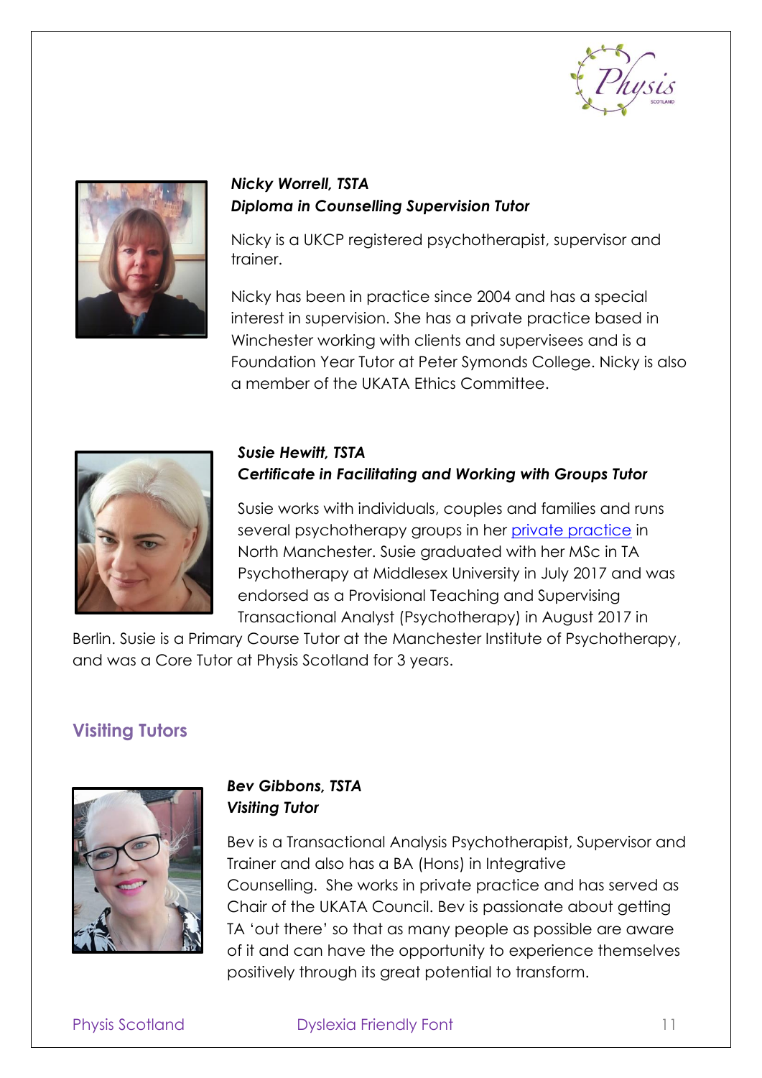



### *Nicky Worrell, TSTA Diploma in Counselling Supervision Tutor*

Nicky is a UKCP registered psychotherapist, supervisor and trainer.

Nicky has been in practice since 2004 and has a special interest in supervision. She has a private practice based in Winchester working with clients and supervisees and is a Foundation Year Tutor at Peter Symonds College. Nicky is also a member of the UKATA Ethics Committee.



#### *Susie Hewitt, TSTA Certificate in Facilitating and Working with Groups Tutor*

Susie works with individuals, couples and families and runs several psychotherapy groups in her [private practice](https://www.susiehewitt.co.uk/) in North Manchester. Susie graduated with her MSc in TA Psychotherapy at Middlesex University in July 2017 and was endorsed as a Provisional Teaching and Supervising Transactional Analyst (Psychotherapy) in August 2017 in

Berlin. Susie is a Primary Course Tutor at the Manchester Institute of Psychotherapy, and was a Core Tutor at Physis Scotland for 3 years.

## <span id="page-11-0"></span>**Visiting Tutors**



## *Bev Gibbons, TSTA Visiting Tutor*

Bev is a Transactional Analysis Psychotherapist, Supervisor and Trainer and also has a BA (Hons) in Integrative Counselling. She works in private practice and has served as Chair of the UKATA Council. Bev is passionate about getting TA 'out there' so that as many people as possible are aware of it and can have the opportunity to experience themselves positively through its great potential to transform.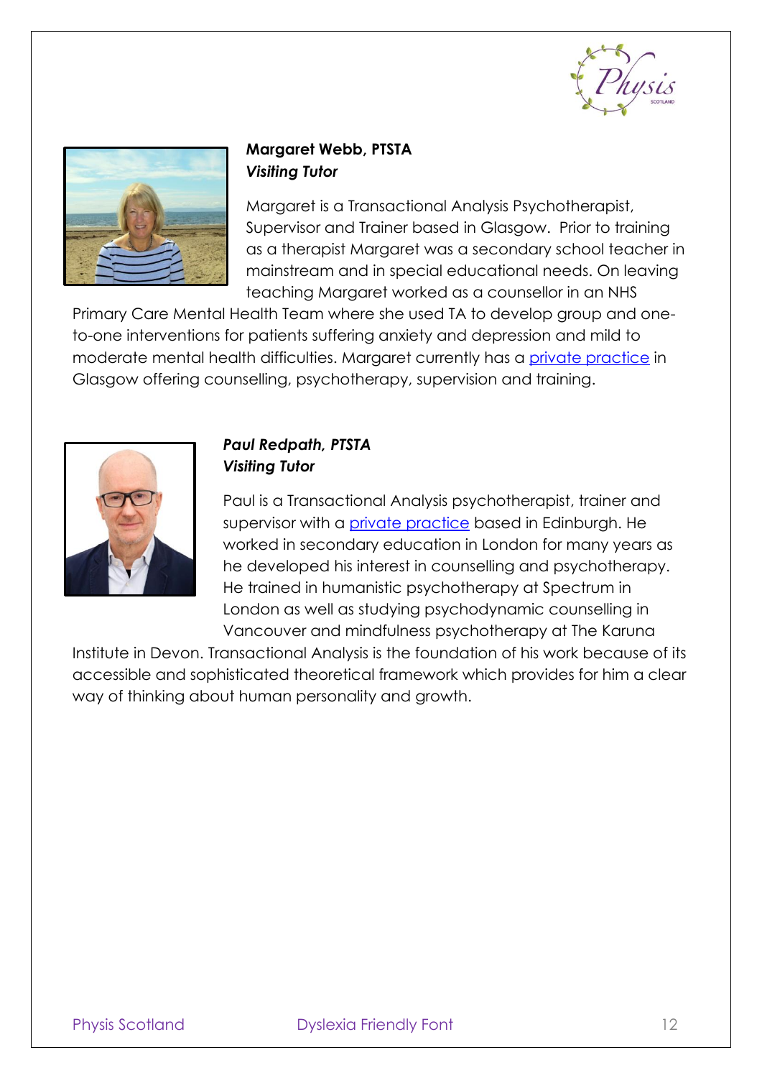



## **Margaret Webb, PTSTA** *Visiting Tutor*

Margaret is a Transactional Analysis Psychotherapist, Supervisor and Trainer based in Glasgow. Prior to training as a therapist Margaret was a secondary school teacher in mainstream and in special educational needs. On leaving teaching Margaret worked as a counsellor in an NHS

Primary Care Mental Health Team where she used TA to develop group and oneto-one interventions for patients suffering anxiety and depression and mild to moderate mental health difficulties. Margaret currently has a [private practice](http://margaretwebb.co.uk/) in Glasgow offering counselling, psychotherapy, supervision and training.



#### *Paul Redpath, PTSTA Visiting Tutor*

Paul is a Transactional Analysis psychotherapist, trainer and supervisor with a *private practice* based in Edinburgh. He worked in secondary education in London for many years as he developed his interest in counselling and psychotherapy. He trained in humanistic psychotherapy at Spectrum in London as well as studying psychodynamic counselling in Vancouver and mindfulness psychotherapy at The Karuna

Institute in Devon. Transactional Analysis is the foundation of his work because of its accessible and sophisticated theoretical framework which provides for him a clear way of thinking about human personality and growth.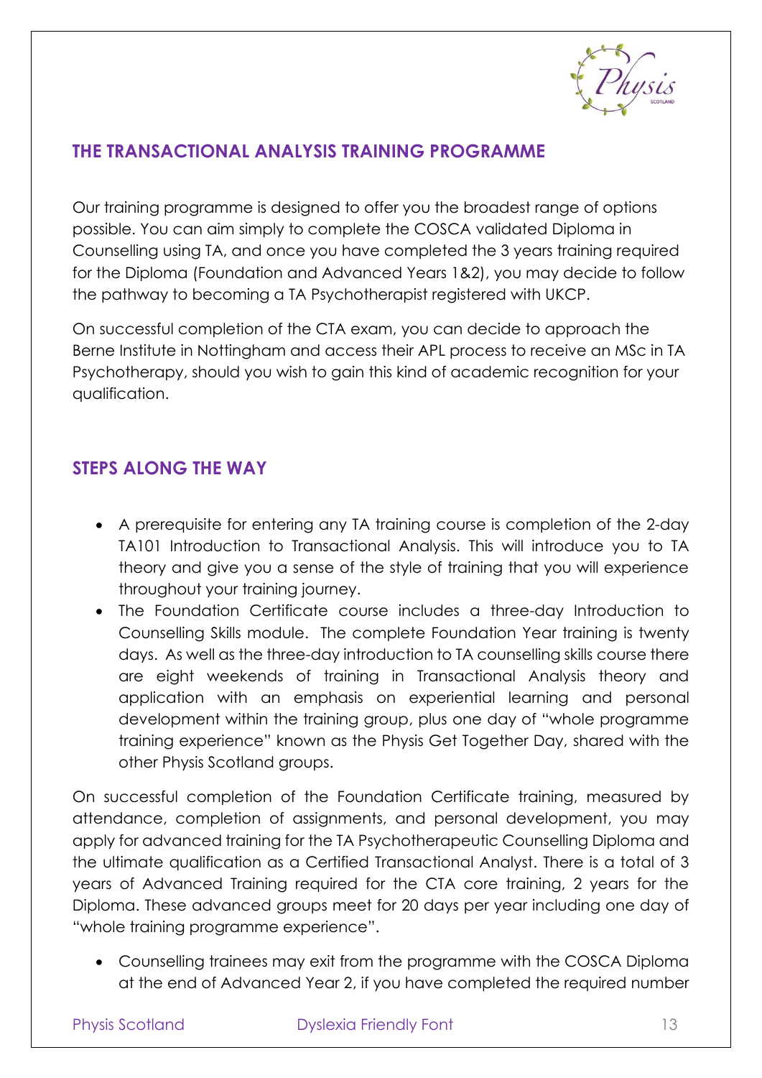

## <span id="page-13-0"></span>**THE TRANSACTIONAL ANALYSIS TRAINING PROGRAMME**

Our training programme is designed to offer you the broadest range of options possible. You can aim simply to complete the COSCA validated Diploma in Counselling using TA, and once you have completed the 3 years training required for the Diploma (Foundation and Advanced Years 1&2), you may decide to follow the pathway to becoming a TA Psychotherapist registered with UKCP.

On successful completion of the CTA exam, you can decide to approach the Berne Institute in Nottingham and access their APL process to receive an MSc in TA Psychotherapy, should you wish to gain this kind of academic recognition for your qualification.

## <span id="page-13-1"></span>**STEPS ALONG THE WAY**

- A prerequisite for entering any TA training course is completion of the 2-day TA101 Introduction to Transactional Analysis. This will introduce you to TA theory and give you a sense of the style of training that you will experience throughout your training journey.
- The Foundation Certificate course includes a three-day Introduction to Counselling Skills module. The complete Foundation Year training is twenty days. As well as the three-day introduction to TA counselling skills course there are eight weekends of training in Transactional Analysis theory and application with an emphasis on experiential learning and personal development within the training group, plus one day of "whole programme training experience" known as the Physis Get Together Day, shared with the other Physis Scotland groups.

On successful completion of the Foundation Certificate training, measured by attendance, completion of assignments, and personal development, you may apply for advanced training for the TA Psychotherapeutic Counselling Diploma and the ultimate qualification as a Certified Transactional Analyst. There is a total of 3 years of Advanced Training required for the CTA core training, 2 years for the Diploma. These advanced groups meet for 20 days per year including one day of "whole training programme experience".

• Counselling trainees may exit from the programme with the COSCA Diploma at the end of Advanced Year 2, if you have completed the required number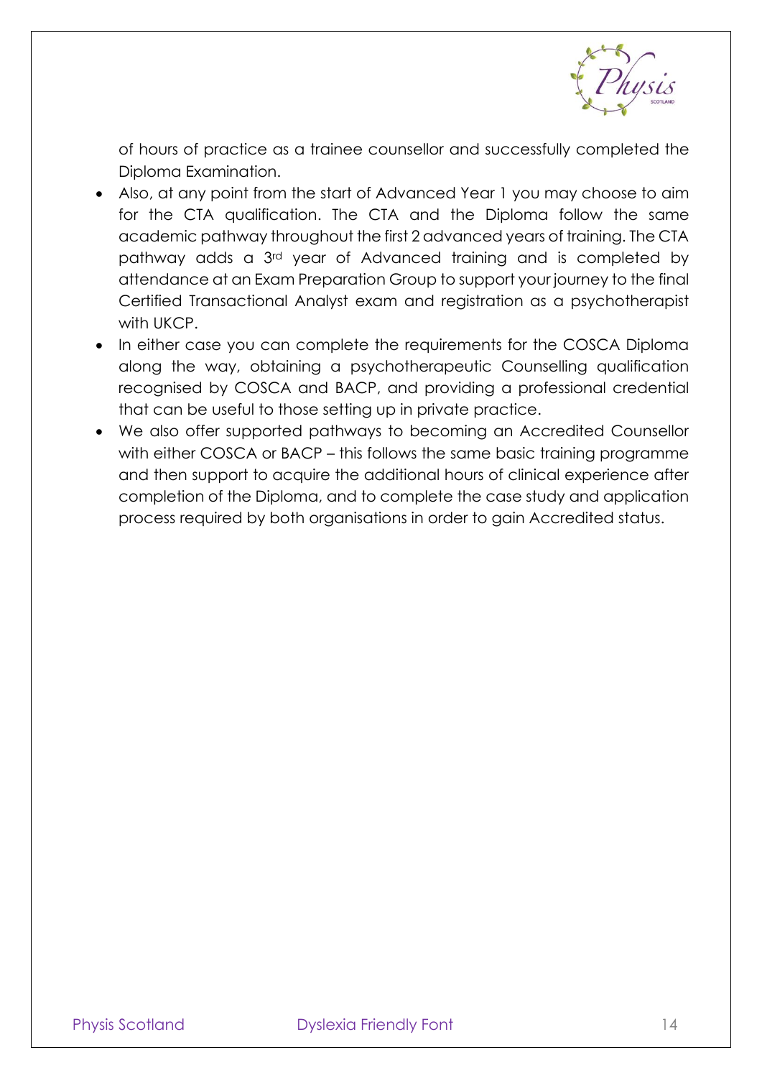

of hours of practice as a trainee counsellor and successfully completed the Diploma Examination.

- Also, at any point from the start of Advanced Year 1 you may choose to aim for the CTA qualification. The CTA and the Diploma follow the same academic pathway throughout the first 2 advanced years of training. The CTA pathway adds a 3rd year of Advanced training and is completed by attendance at an Exam Preparation Group to support your journey to the final Certified Transactional Analyst exam and registration as a psychotherapist with UKCP.
- In either case you can complete the requirements for the COSCA Diploma along the way, obtaining a psychotherapeutic Counselling qualification recognised by COSCA and BACP, and providing a professional credential that can be useful to those setting up in private practice.
- We also offer supported pathways to becoming an Accredited Counsellor with either COSCA or BACP – this follows the same basic training programme and then support to acquire the additional hours of clinical experience after completion of the Diploma, and to complete the case study and application process required by both organisations in order to gain Accredited status.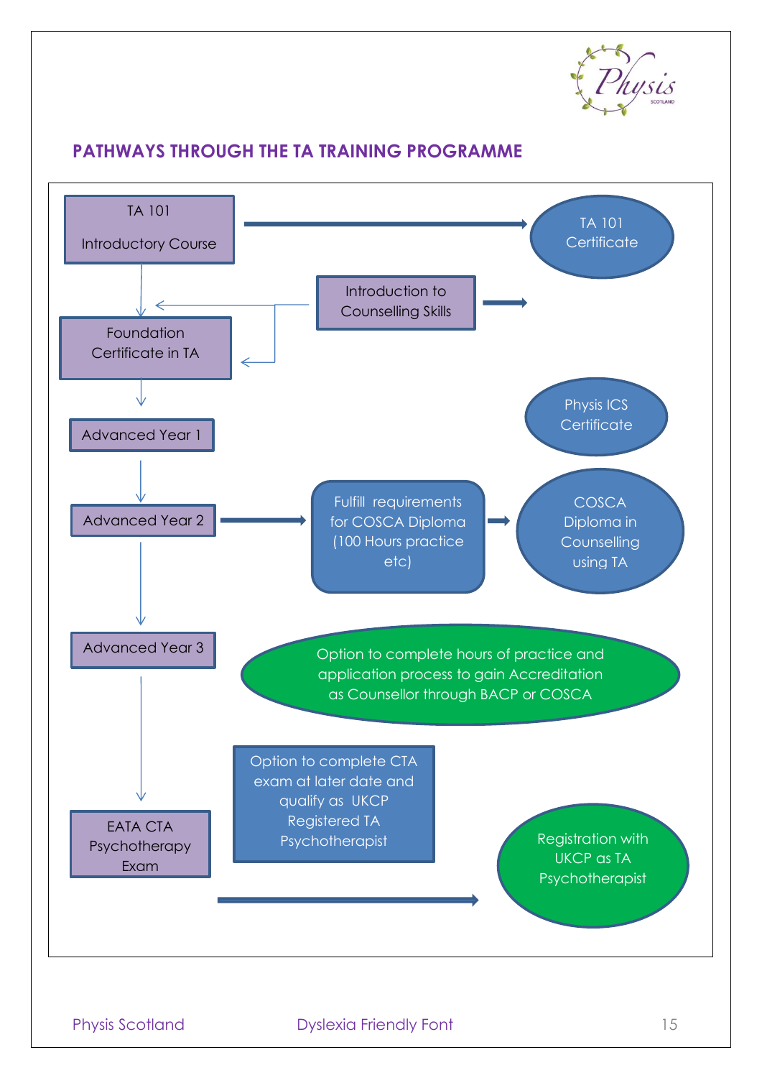

## <span id="page-15-0"></span>**PATHWAYS THROUGH THE TA TRAINING PROGRAMME**

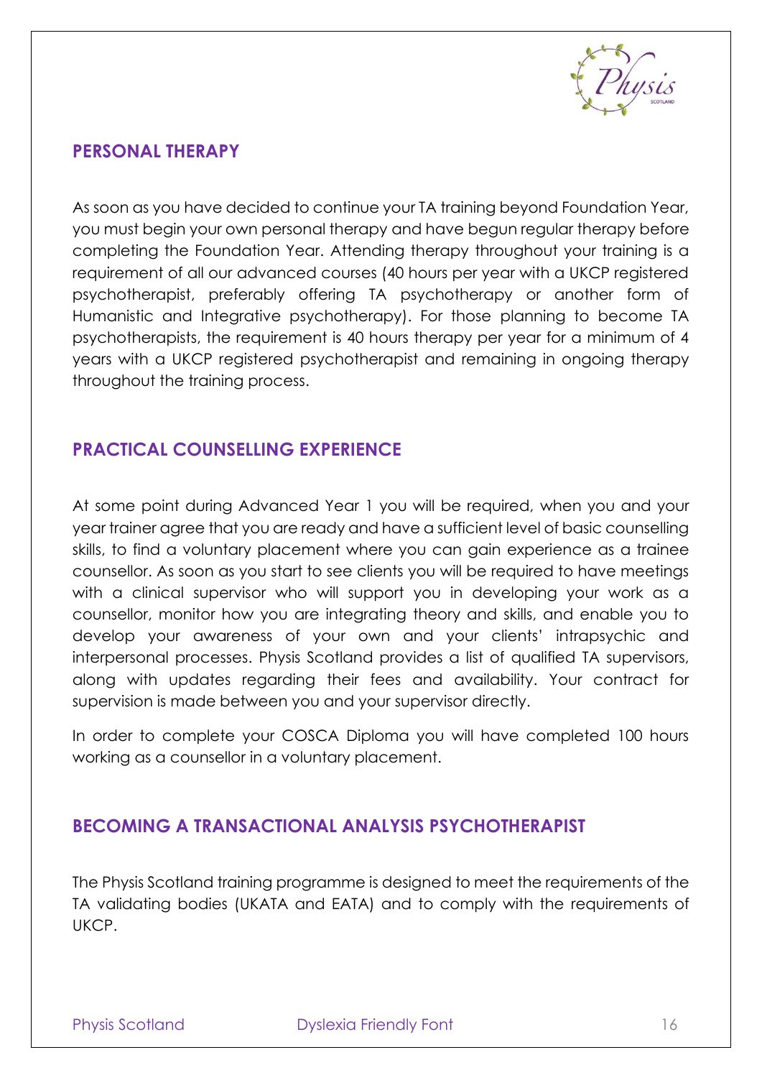

## <span id="page-16-0"></span>**PERSONAL THERAPY**

As soon as you have decided to continue your TA training beyond Foundation Year, you must begin your own personal therapy and have begun regular therapy before completing the Foundation Year. Attending therapy throughout your training is a requirement of all our advanced courses (40 hours per year with a UKCP registered psychotherapist, preferably offering TA psychotherapy or another form of Humanistic and Integrative psychotherapy). For those planning to become TA psychotherapists, the requirement is 40 hours therapy per year for a minimum of 4 years with a UKCP registered psychotherapist and remaining in ongoing therapy throughout the training process.

## <span id="page-16-1"></span>**PRACTICAL COUNSELLING EXPERIENCE**

At some point during Advanced Year 1 you will be required, when you and your year trainer agree that you are ready and have a sufficient level of basic counselling skills, to find a voluntary placement where you can gain experience as a trainee counsellor. As soon as you start to see clients you will be required to have meetings with a clinical supervisor who will support you in developing your work as a counsellor, monitor how you are integrating theory and skills, and enable you to develop your awareness of your own and your clients' intrapsychic and interpersonal processes. Physis Scotland provides a list of qualified TA supervisors, along with updates regarding their fees and availability. Your contract for supervision is made between you and your supervisor directly.

In order to complete your COSCA Diploma you will have completed 100 hours working as a counsellor in a voluntary placement.

## <span id="page-16-2"></span>**BECOMING A TRANSACTIONAL ANALYSIS PSYCHOTHERAPIST**

The Physis Scotland training programme is designed to meet the requirements of the TA validating bodies (UKATA and EATA) and to comply with the requirements of UKCP.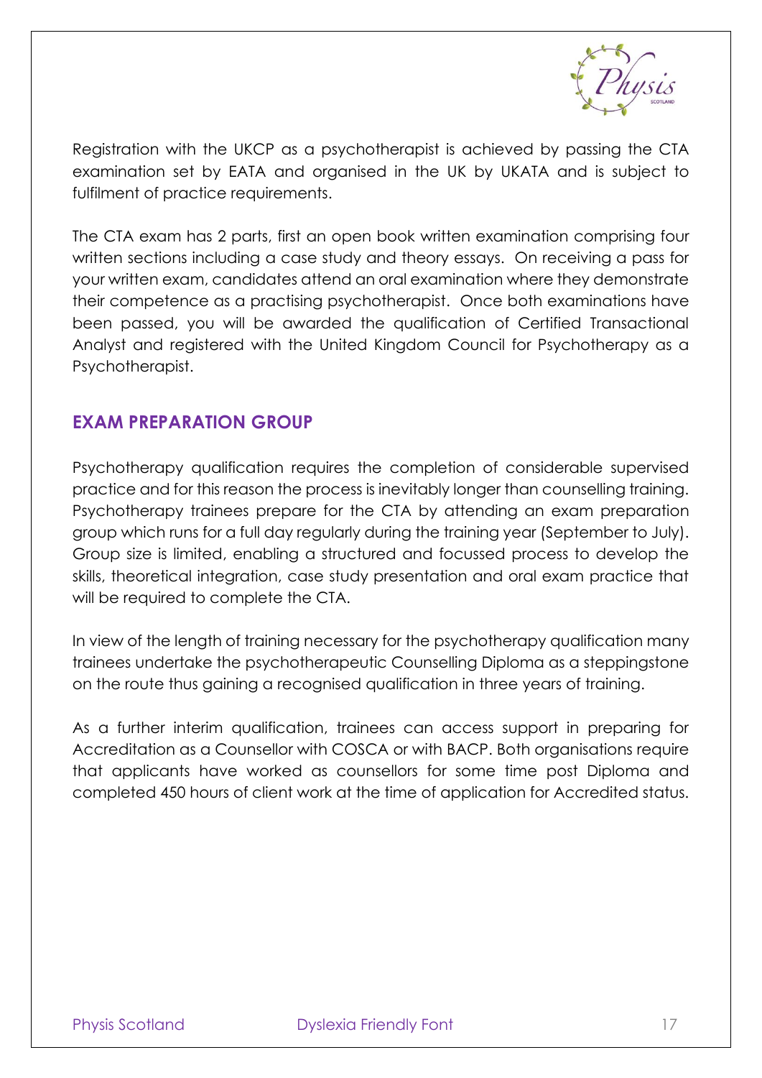

Registration with the UKCP as a psychotherapist is achieved by passing the CTA examination set by EATA and organised in the UK by UKATA and is subject to fulfilment of practice requirements.

The CTA exam has 2 parts, first an open book written examination comprising four written sections including a case study and theory essays. On receiving a pass for your written exam, candidates attend an oral examination where they demonstrate their competence as a practising psychotherapist. Once both examinations have been passed, you will be awarded the qualification of Certified Transactional Analyst and registered with the United Kingdom Council for Psychotherapy as a Psychotherapist.

## <span id="page-17-0"></span>**EXAM PREPARATION GROUP**

Psychotherapy qualification requires the completion of considerable supervised practice and for this reason the process is inevitably longer than counselling training. Psychotherapy trainees prepare for the CTA by attending an exam preparation group which runs for a full day regularly during the training year (September to July). Group size is limited, enabling a structured and focussed process to develop the skills, theoretical integration, case study presentation and oral exam practice that will be required to complete the CTA.

In view of the length of training necessary for the psychotherapy qualification many trainees undertake the psychotherapeutic Counselling Diploma as a steppingstone on the route thus gaining a recognised qualification in three years of training.

As a further interim qualification, trainees can access support in preparing for Accreditation as a Counsellor with COSCA or with BACP. Both organisations require that applicants have worked as counsellors for some time post Diploma and completed 450 hours of client work at the time of application for Accredited status.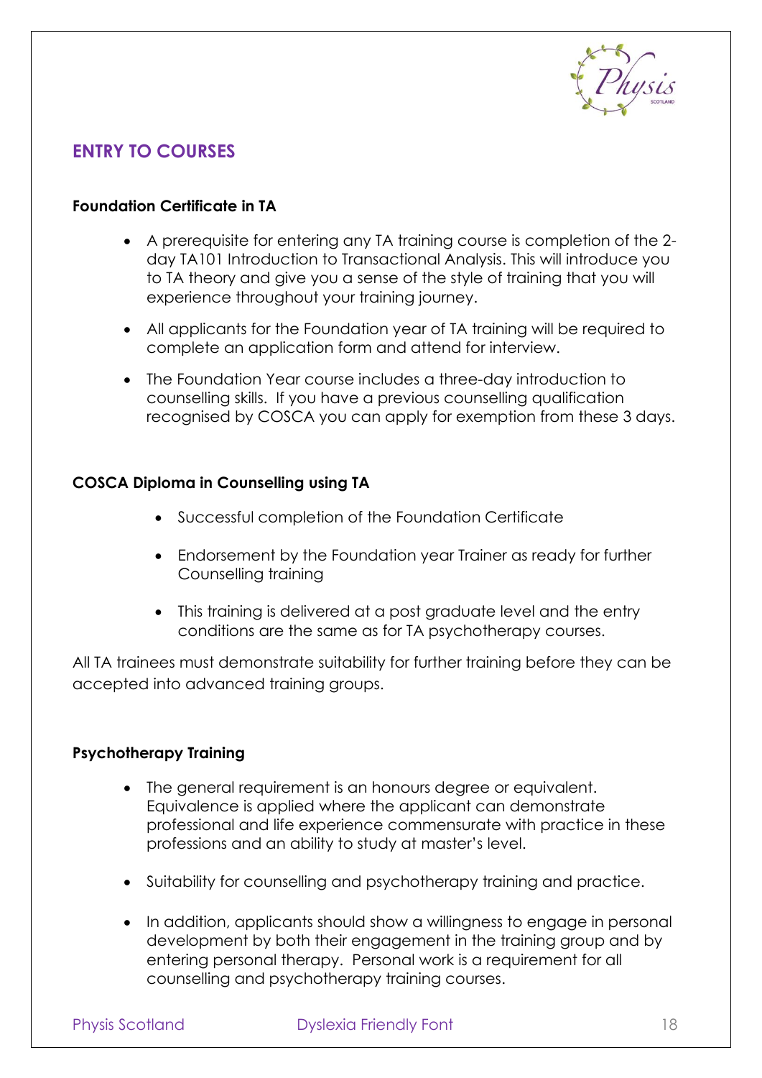

## <span id="page-18-0"></span>**ENTRY TO COURSES**

#### **Foundation Certificate in TA**

- A prerequisite for entering any TA training course is completion of the 2 day TA101 Introduction to Transactional Analysis. This will introduce you to TA theory and give you a sense of the style of training that you will experience throughout your training journey.
- All applicants for the Foundation year of TA training will be required to complete an application form and attend for interview.
- The Foundation Year course includes a three-day introduction to counselling skills. If you have a previous counselling qualification recognised by COSCA you can apply for exemption from these 3 days.

#### **COSCA Diploma in Counselling using TA**

- Successful completion of the Foundation Certificate
- Endorsement by the Foundation year Trainer as ready for further Counselling training
- This training is delivered at a post graduate level and the entry conditions are the same as for TA psychotherapy courses.

All TA trainees must demonstrate suitability for further training before they can be accepted into advanced training groups.

#### **Psychotherapy Training**

- The general requirement is an honours degree or equivalent. Equivalence is applied where the applicant can demonstrate professional and life experience commensurate with practice in these professions and an ability to study at master's level.
- Suitability for counselling and psychotherapy training and practice.
- In addition, applicants should show a willingness to engage in personal development by both their engagement in the training group and by entering personal therapy. Personal work is a requirement for all counselling and psychotherapy training courses.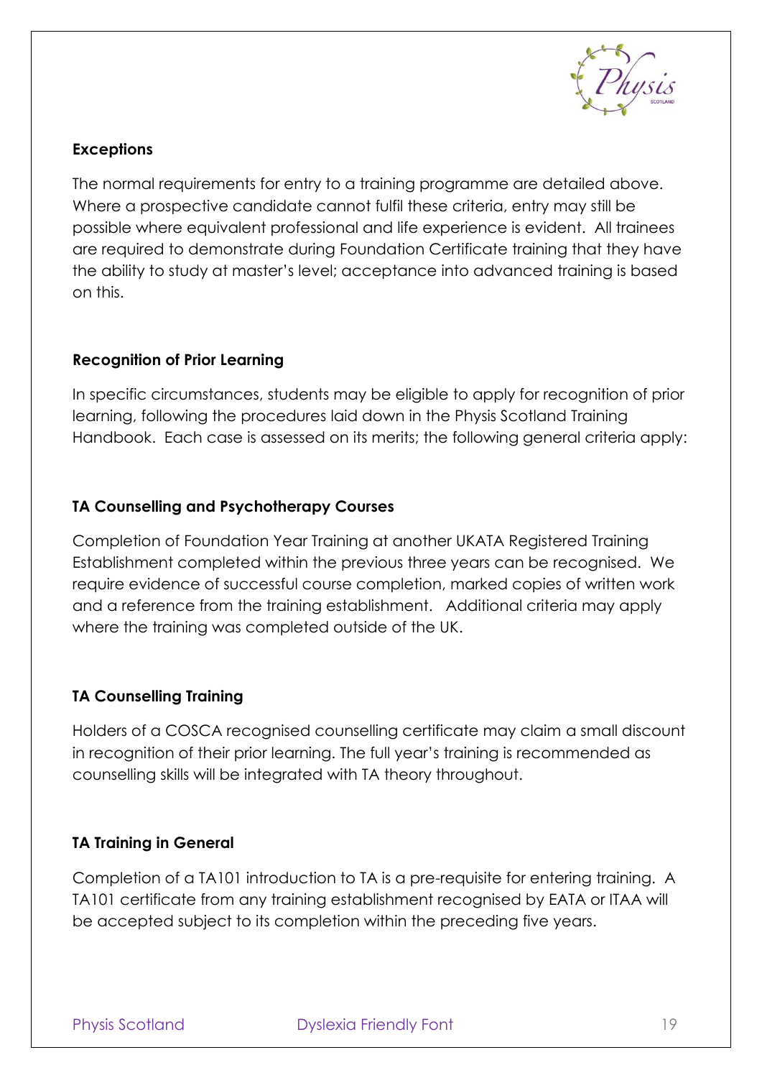

#### **Exceptions**

The normal requirements for entry to a training programme are detailed above. Where a prospective candidate cannot fulfil these criteria, entry may still be possible where equivalent professional and life experience is evident. All trainees are required to demonstrate during Foundation Certificate training that they have the ability to study at master's level; acceptance into advanced training is based on this.

#### **Recognition of Prior Learning**

In specific circumstances, students may be eligible to apply for recognition of prior learning, following the procedures laid down in the Physis Scotland Training Handbook. Each case is assessed on its merits; the following general criteria apply:

#### **TA Counselling and Psychotherapy Courses**

Completion of Foundation Year Training at another UKATA Registered Training Establishment completed within the previous three years can be recognised. We require evidence of successful course completion, marked copies of written work and a reference from the training establishment. Additional criteria may apply where the training was completed outside of the UK.

## **TA Counselling Training**

Holders of a COSCA recognised counselling certificate may claim a small discount in recognition of their prior learning. The full year's training is recommended as counselling skills will be integrated with TA theory throughout.

#### **TA Training in General**

<span id="page-19-0"></span>Completion of a TA101 introduction to TA is a pre-requisite for entering training. A TA101 certificate from any training establishment recognised by EATA or ITAA will be accepted subject to its completion within the preceding five years.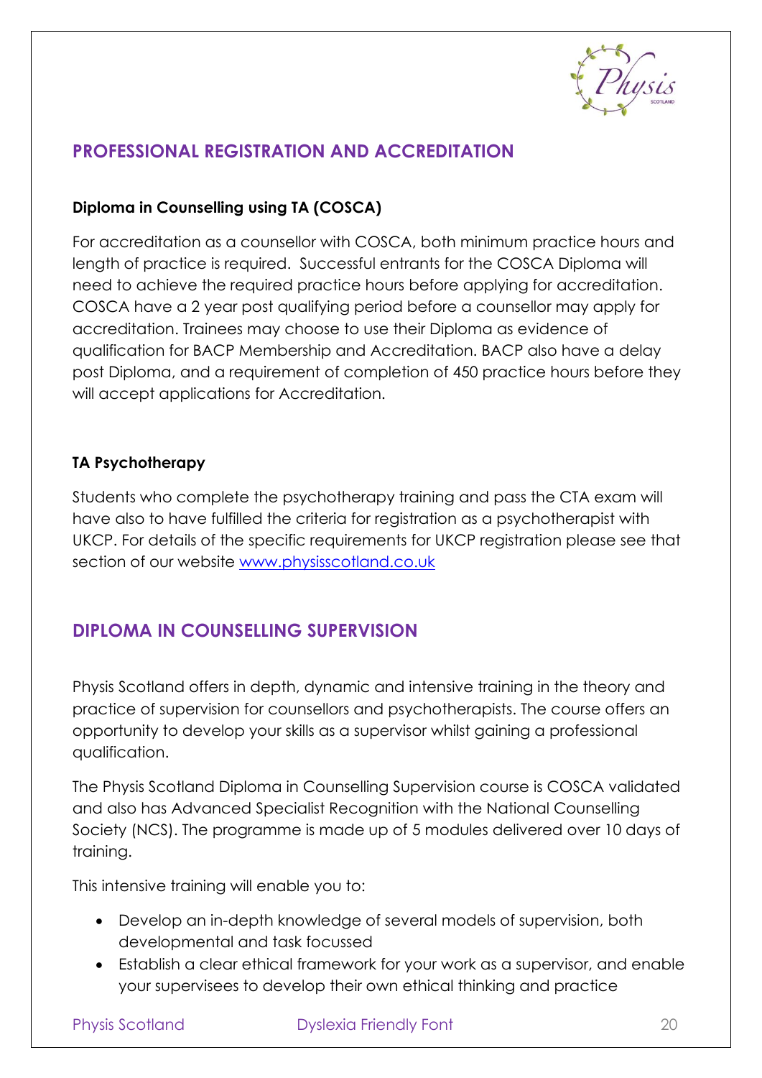

## **PROFESSIONAL REGISTRATION AND ACCREDITATION**

#### **Diploma in Counselling using TA (COSCA)**

For accreditation as a counsellor with COSCA, both minimum practice hours and length of practice is required. Successful entrants for the COSCA Diploma will need to achieve the required practice hours before applying for accreditation. COSCA have a 2 year post qualifying period before a counsellor may apply for accreditation. Trainees may choose to use their Diploma as evidence of qualification for BACP Membership and Accreditation. BACP also have a delay post Diploma, and a requirement of completion of 450 practice hours before they will accept applications for Accreditation.

#### **TA Psychotherapy**

Students who complete the psychotherapy training and pass the CTA exam will have also to have fulfilled the criteria for registration as a psychotherapist with UKCP. For details of the specific requirements for UKCP registration please see that section of our website [www.physisscotland.co.uk](http://www.physisscotland.co.uk/)

## <span id="page-20-0"></span>**DIPLOMA IN COUNSELLING SUPERVISION**

Physis Scotland offers in depth, dynamic and intensive training in the theory and practice of supervision for counsellors and psychotherapists. The course offers an opportunity to develop your skills as a supervisor whilst gaining a professional qualification.

The Physis Scotland Diploma in Counselling Supervision course is COSCA validated and also has Advanced Specialist Recognition with the National Counselling Society (NCS). The programme is made up of 5 modules delivered over 10 days of training.

This intensive training will enable you to:

- Develop an in-depth knowledge of several models of supervision, both developmental and task focussed
- Establish a clear ethical framework for your work as a supervisor, and enable your supervisees to develop their own ethical thinking and practice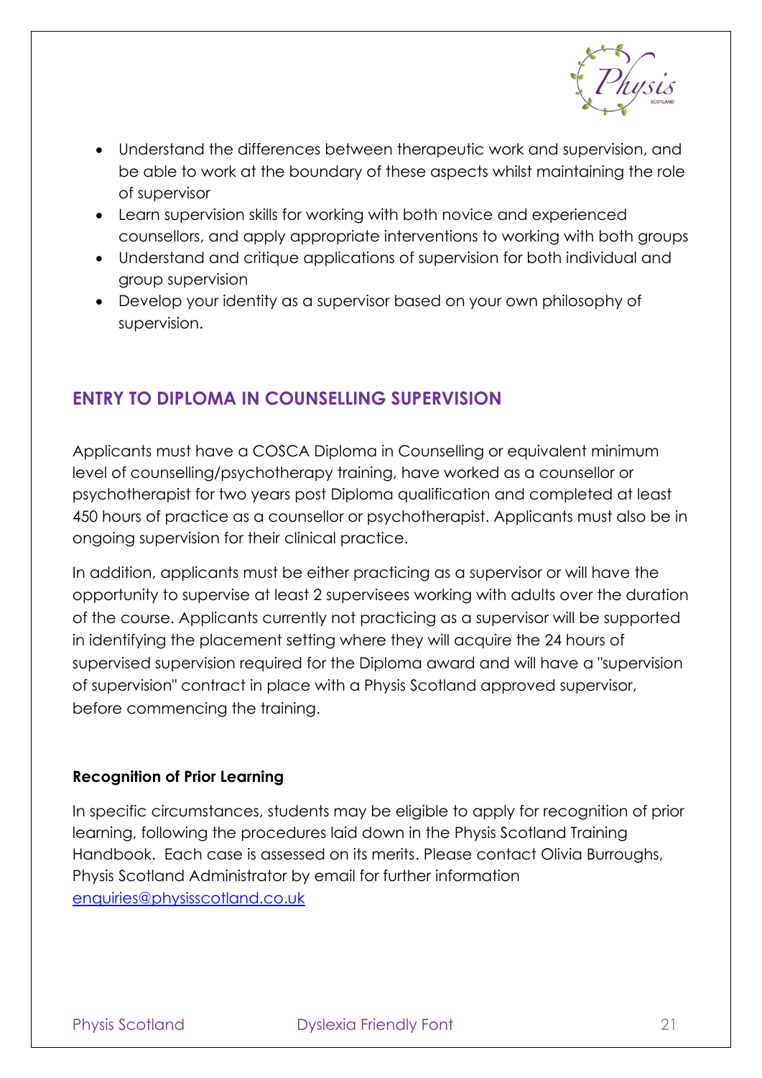

- Understand the differences between therapeutic work and supervision, and be able to work at the boundary of these aspects whilst maintaining the role of supervisor
- Learn supervision skills for working with both novice and experienced counsellors, and apply appropriate interventions to working with both groups
- Understand and critique applications of supervision for both individual and group supervision
- Develop your identity as a supervisor based on your own philosophy of supervision.

## <span id="page-21-0"></span>**ENTRY TO DIPLOMA IN COUNSELLING SUPERVISION**

Applicants must have a COSCA Diploma in Counselling or equivalent minimum level of counselling/psychotherapy training, have worked as a counsellor or psychotherapist for two years post Diploma qualification and completed at least 450 hours of practice as a counsellor or psychotherapist. Applicants must also be in ongoing supervision for their clinical practice.

In addition, applicants must be either practicing as a supervisor or will have the opportunity to supervise at least 2 supervisees working with adults over the duration of the course. Applicants currently not practicing as a supervisor will be supported in identifying the placement setting where they will acquire the 24 hours of supervised supervision required for the Diploma award and will have a "supervision of supervision" contract in place with a Physis Scotland approved supervisor, before commencing the training.

#### **Recognition of Prior Learning**

<span id="page-21-1"></span>In specific circumstances, students may be eligible to apply for recognition of prior learning, following the procedures laid down in the Physis Scotland Training Handbook. Each case is assessed on its merits. Please contact Olivia Burroughs, Physis Scotland Administrator by email for further information [enquiries@physisscotland.co.uk](mailto:enquiries@physisscotland.co.uk)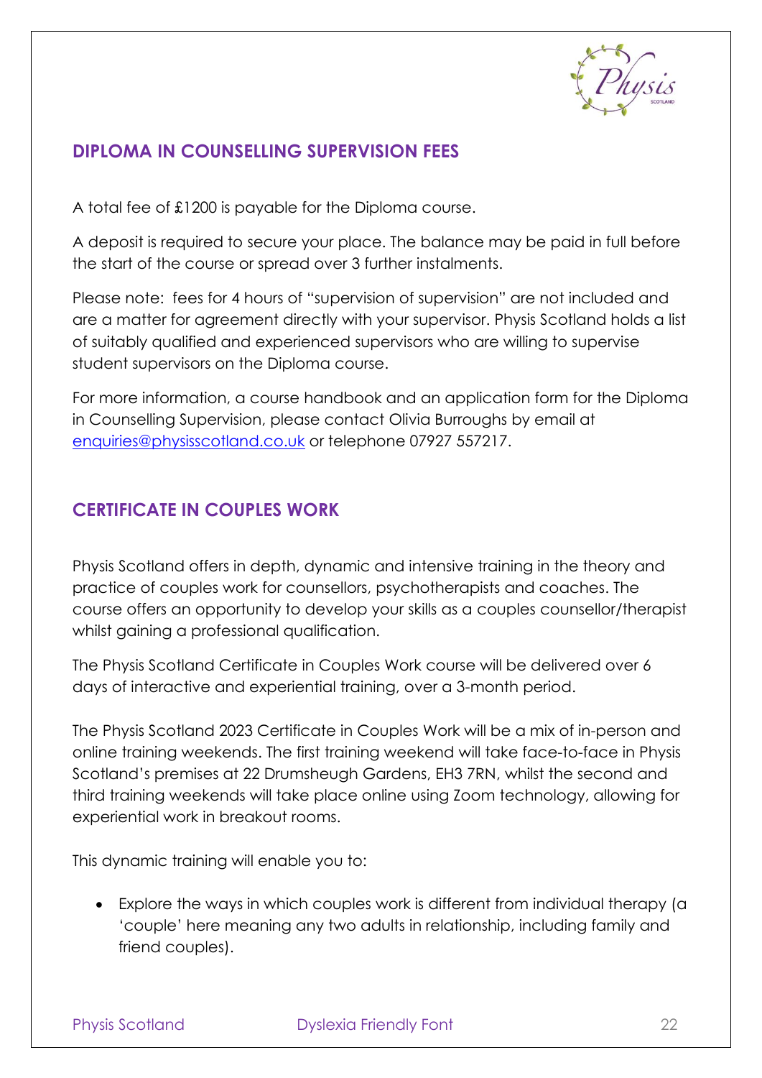

## **DIPLOMA IN COUNSELLING SUPERVISION FEES**

A total fee of £1200 is payable for the Diploma course.

A deposit is required to secure your place. The balance may be paid in full before the start of the course or spread over 3 further instalments.

Please note: fees for 4 hours of "supervision of supervision" are not included and are a matter for agreement directly with your supervisor. Physis Scotland holds a list of suitably qualified and experienced supervisors who are willing to supervise student supervisors on the Diploma course.

For more information, a course handbook and an application form for the Diploma in Counselling Supervision, please contact Olivia Burroughs by email at [enquiries@physisscotland.co.uk](mailto:enquiries@physisscotland.co.uk) or telephone 07927 557217.

## <span id="page-22-0"></span>**CERTIFICATE IN COUPLES WORK**

Physis Scotland offers in depth, dynamic and intensive training in the theory and practice of couples work for counsellors, psychotherapists and coaches. The course offers an opportunity to develop your skills as a couples counsellor/therapist whilst gaining a professional qualification.

The Physis Scotland Certificate in Couples Work course will be delivered over 6 days of interactive and experiential training, over a 3-month period.

The Physis Scotland 2023 Certificate in Couples Work will be a mix of in-person and online training weekends. The first training weekend will take face-to-face in Physis Scotland's premises at 22 Drumsheugh Gardens, EH3 7RN, whilst the second and third training weekends will take place online using Zoom technology, allowing for experiential work in breakout rooms.

This dynamic training will enable you to:

• Explore the ways in which couples work is different from individual therapy (a 'couple' here meaning any two adults in relationship, including family and friend couples).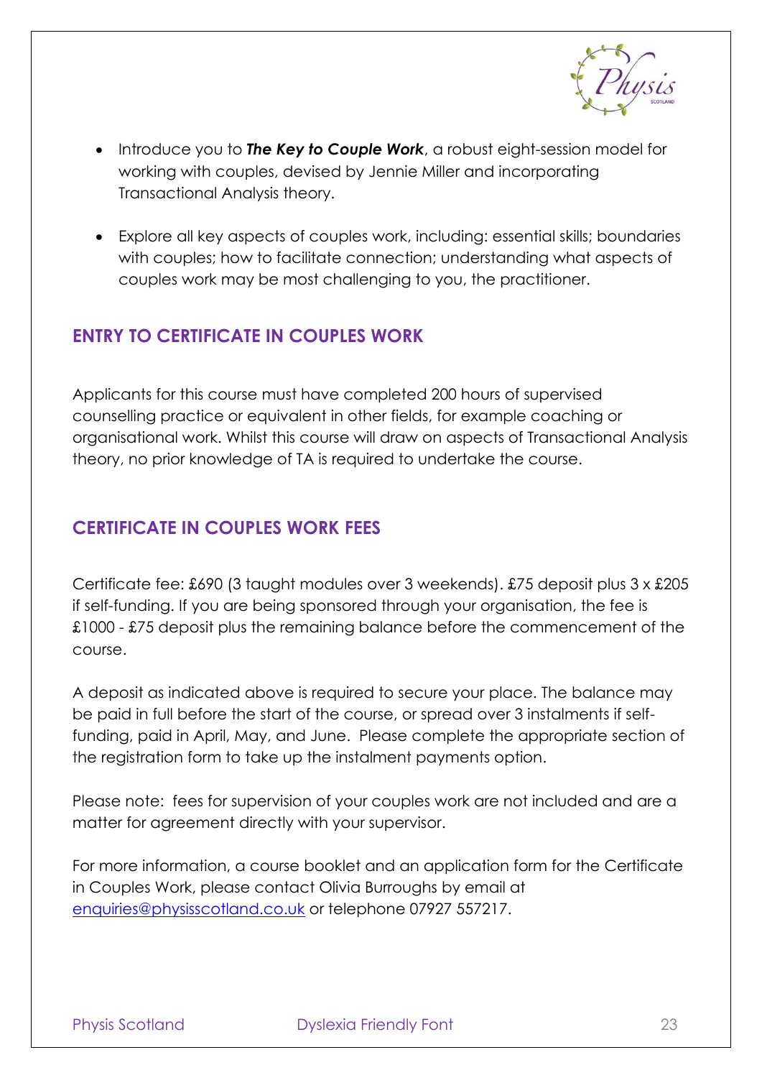

- Introduce you to *The Key to Couple Work*, a robust eight-session model for working with couples, devised by Jennie Miller and incorporating Transactional Analysis theory.
- Explore all key aspects of couples work, including: essential skills; boundaries with couples; how to facilitate connection; understanding what aspects of couples work may be most challenging to you, the practitioner.

## <span id="page-23-0"></span>**ENTRY TO CERTIFICATE IN COUPLES WORK**

Applicants for this course must have completed 200 hours of supervised counselling practice or equivalent in other fields, for example coaching or organisational work. Whilst this course will draw on aspects of Transactional Analysis theory, no prior knowledge of TA is required to undertake the course.

## <span id="page-23-1"></span>**CERTIFICATE IN COUPLES WORK FEES**

Certificate fee: £690 (3 taught modules over 3 weekends). £75 deposit plus 3 x £205 if self-funding. If you are being sponsored through your organisation, the fee is £1000 - £75 deposit plus the remaining balance before the commencement of the course.

A deposit as indicated above is required to secure your place. The balance may be paid in full before the start of the course, or spread over 3 instalments if selffunding, paid in April, May, and June. Please complete the appropriate section of the registration form to take up the instalment payments option.

Please note: fees for supervision of your couples work are not included and are a matter for agreement directly with your supervisor.

For more information, a course booklet and an application form for the Certificate in Couples Work, please contact Olivia Burroughs by email at [enquiries@physisscotland.co.uk](mailto:enquiries@physisscotland.co.uk) or telephone 07927 557217.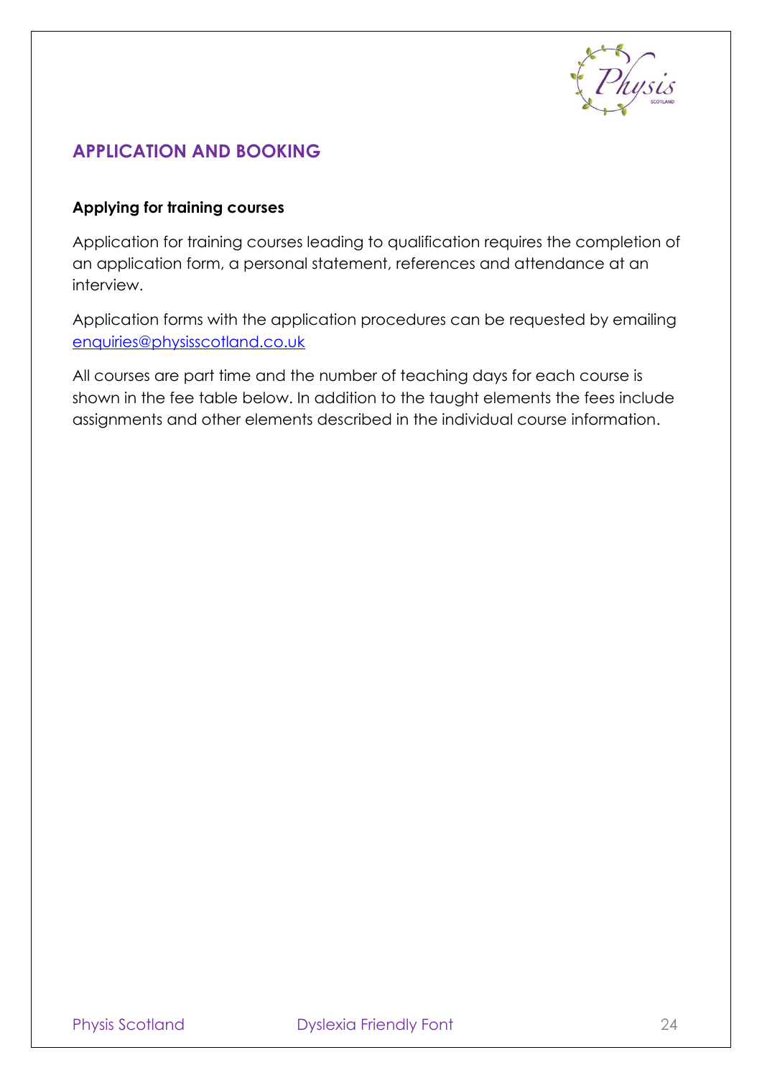

## <span id="page-24-0"></span>**APPLICATION AND BOOKING**

#### **Applying for training courses**

Application for training courses leading to qualification requires the completion of an application form, a personal statement, references and attendance at an interview.

Application forms with the application procedures can be requested by emailing [enquiries@physisscotland.co.uk](mailto:enquiries@physisscotland.co.uk)

All courses are part time and the number of teaching days for each course is shown in the fee table below. In addition to the taught elements the fees include assignments and other elements described in the individual course information.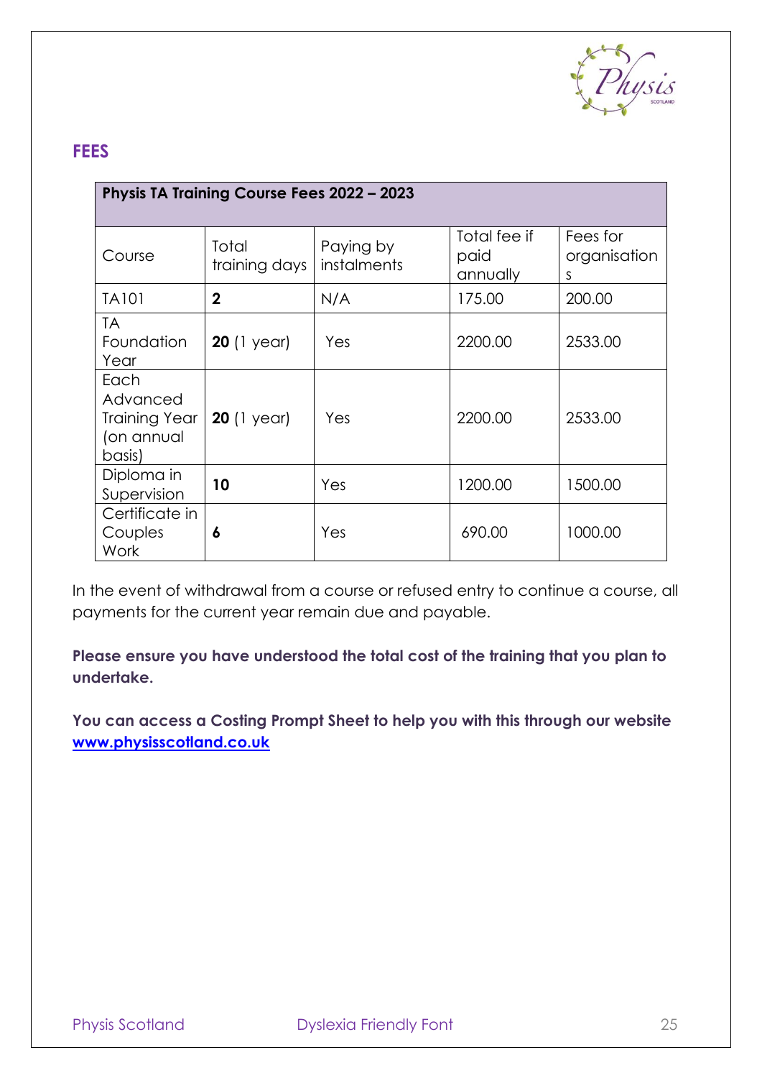

## <span id="page-25-0"></span>**FEES**

| Physis TA Training Course Fees 2022 - 2023                       |                        |                          |                                  |                               |  |
|------------------------------------------------------------------|------------------------|--------------------------|----------------------------------|-------------------------------|--|
| Course                                                           | Total<br>training days | Paying by<br>instalments | Total fee if<br>paid<br>annually | Fees for<br>organisation<br>S |  |
| <b>TA101</b>                                                     | $\mathbf 2$            | N/A                      | 175.00                           | 200.00                        |  |
| <b>TA</b><br>Foundation<br>Year                                  | <b>20</b> (1 year)     | Yes                      | 2200.00                          | 2533.00                       |  |
| Each<br>Advanced<br><b>Training Year</b><br>(on annual<br>basis) | <b>20</b> (1 year)     | Yes                      | 2200.00                          | 2533.00                       |  |
| Diploma in<br>Supervision                                        | 10                     | Yes                      | 1200.00                          | 1500.00                       |  |
| Certificate in<br>Couples<br>Work                                | 6                      | Yes                      | 690.00                           | 1000.00                       |  |

In the event of withdrawal from a course or refused entry to continue a course, all payments for the current year remain due and payable.

**Please ensure you have understood the total cost of the training that you plan to undertake.**

<span id="page-25-1"></span>**You can access a Costing Prompt Sheet to help you with this through our website [www.physisscotland.co.uk](http://www.physisscotland.co.uk/)**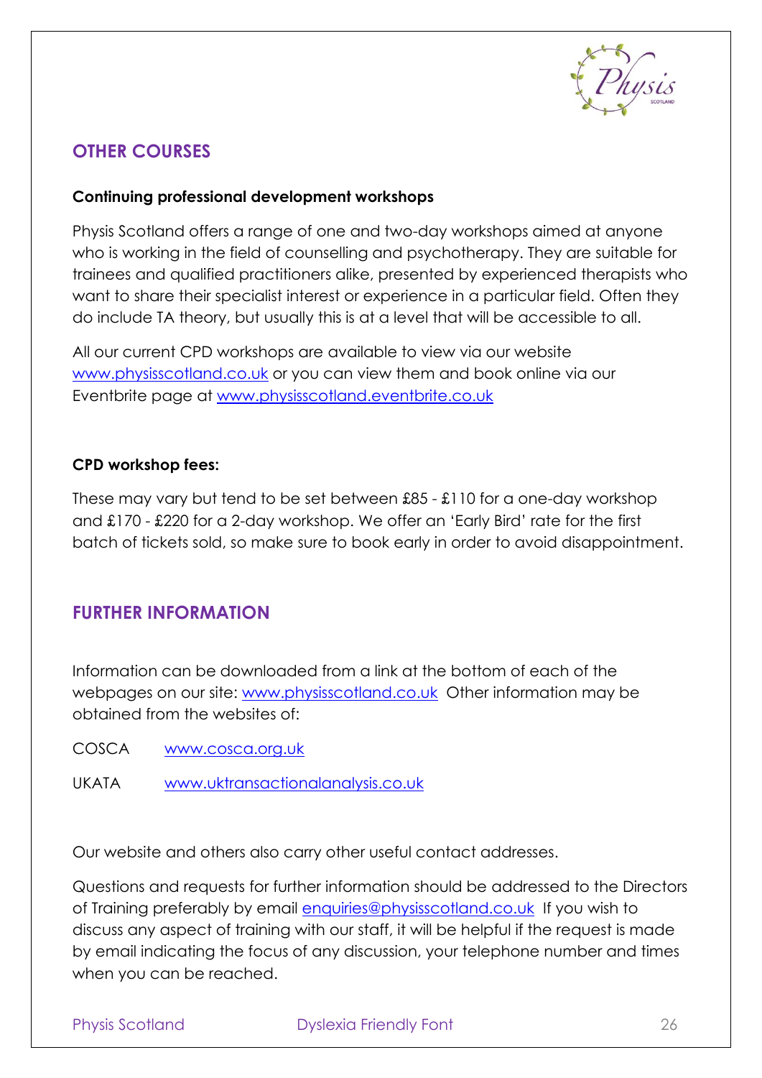

## **OTHER COURSES**

#### **Continuing professional development workshops**

Physis Scotland offers a range of one and two-day workshops aimed at anyone who is working in the field of counselling and psychotherapy. They are suitable for trainees and qualified practitioners alike, presented by experienced therapists who want to share their specialist interest or experience in a particular field. Often they do include TA theory, but usually this is at a level that will be accessible to all.

All our current CPD workshops are available to view via our website [www.physisscotland.co.uk](http://www.physisscotland.co.uk/) or you can view them and book online via our Eventbrite page at [www.physisscotland.eventbrite.co.uk](http://www.physisscotland.eventbrite.co.uk/)

#### **CPD workshop fees:**

These may vary but tend to be set between £85 - £110 for a one-day workshop and £170 - £220 for a 2-day workshop. We offer an 'Early Bird' rate for the first batch of tickets sold, so make sure to book early in order to avoid disappointment.

## <span id="page-26-0"></span>**FURTHER INFORMATION**

Information can be downloaded from a link at the bottom of each of the webpages on our site: [www.physisscotland.co.uk](http://www.physisscotland.co.uk/) Other information may be obtained from the websites of:

- COSCA [www.cosca.org.uk](http://www.cosca.org.uk/)
- UKATA [www.uktransactionalanalysis.co.uk](http://www.uktransactionalanalysis.co.uk/)

Our website and others also carry other useful contact addresses.

Questions and requests for further information should be addressed to the Directors of Training preferably by email [enquiries@physisscotland.co.uk](mailto:enquiries@physisscotland.co.uk) If you wish to discuss any aspect of training with our staff, it will be helpful if the request is made by email indicating the focus of any discussion, your telephone number and times when you can be reached.